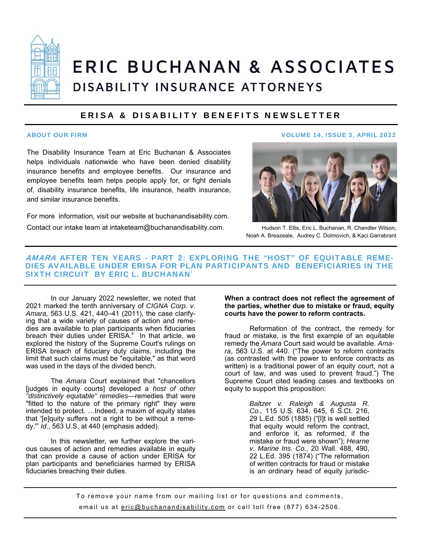

# **ERIC BUCHANAN & ASSOCIATES** DISABILITY INSURANCE ATTORNEYS

### ERISA & DISABILITY BENEFITS NEWSLETTER

The Disability Insurance Team at Eric Buchanan & Associates helps individuals nationwide who have been denied disability insurance benefits and employee benefits. Our insurance and employee benefits team helps people apply for, or fight denials of, disability insurance benefits, life insurance, health insurance, and similar insurance benefits.

For more information, visit our website at buchanandisability.com. Contact our intake team at intaketeam@buchanandisability.com.

#### ABOUT OUR FIRM VOLUME 14, ISSUE 3, APRIL 2022



Hudson T. Ellis, Eric L. Buchanan, R. Chandler Wilson, Noah A. Breazeale, Audrey C. Dolmovich, & Kaci Garrabrant

#### AMARA AFTER TEN YEARS - PART 2: EXPLORING THE "HOST" OF EQUITABLE REME-DIES AVAILABLE UNDER ERISA FOR PLAN PARTICIPANTS AND BENEFICIARIES IN THE SIXTH CIRCUIT BY ERIC L. BUCHANAN<sup>®</sup>

 In our January 2022 newsletter, we noted that 2021 marked the tenth anniversary of *CIGNA Corp. v. Amara,* 563 U.S. 421, 440–41 (2011), the case clarifying that a wide variety of causes of action and remedies are available to plan participants when fiduciaries breach their duties under  $ERISA$ <sup>ii</sup> In that article, we explored the history of the Supreme Court's rulings on ERISA breach of fiduciary duty claims, including the limit that such claims must be "equitable," as that word was used in the days of the divided bench.

 The *Amara* Court explained that "chancellors [judges in equity courts] developed a *host of other "distinctively equitable" remedies*—remedies that were "fitted to the nature of the primary right" they were intended to protect. …Indeed, a maxim of equity states that '[e]quity suffers not a right to be without a remedy.'" *Id*., 563 U.S. at 440 (emphasis added).

In this newsletter, we further explore the various causes of action and remedies available in equity that can provide a cause of action under ERISA for plan participants and beneficiaries harmed by ERISA fiduciaries breaching their duties.

#### **When a contract does not reflect the agreement of the parties, whether due to mistake or fraud, equity courts have the power to reform contracts.**

 Reformation of the contract, the remedy for fraud or mistake, is the first example of an equitable remedy the *Amara* Court said would be available. *Amara*, 563 U.S. at 440. ("The power to reform contracts (as contrasted with the power to enforce contracts as written) is a traditional power of an equity court, not a court of law, and was used to prevent fraud.") The Supreme Court cited leading cases and textbooks on equity to support this proposition:

> *Baltzer v. Raleigh & Augusta R. Co.,* 115 U.S. 634, 645, 6 S.Ct. 216, 29 L.Ed. 505 (1885) ("[I]t is well settled that equity would reform the contract, and enforce it, as reformed, if the mistake or fraud were shown"); *Hearne v. Marine Ins. Co.,* 20 Wall. 488, 490, 22 L.Ed. 395 (1874) ("The reformation of written contracts for fraud or mistake is an ordinary head of equity jurisdic-

To remove your name from our mailing list or for questions and comments, email us at eric@buchanandisability.com or call toll free (877) 634-2506.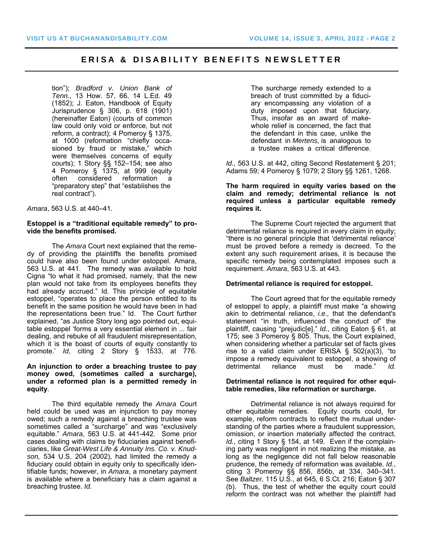#### ERISA & DISABILITY BENEFITS NEWSLETTER

tion"); *Bradford v. Union Bank of Tenn.,* 13 How. 57, 66, 14 L.Ed. 49 (1852); J. Eaton, Handbook of Equity Jurisprudence § 306, p. 618 (1901) (hereinafter Eaton) (courts of common law could only void or enforce, but not reform, a contract); 4 Pomeroy § 1375, at 1000 (reformation "chiefly occasioned by fraud or mistake," which were themselves concerns of equity courts); 1 Story §§ 152–154; see also 4 Pomeroy § 1375, at 999 (equity often considered reformation a "preparatory step" that "establishes the real contract").

*Amara*, 563 U.S. at 440–41.

#### **Estoppel is a "traditional equitable remedy" to provide the benefits promised.**

The *Amara* Court next explained that the remedy of providing the plaintiffs the benefits promised could have also been found under estoppel. Amara, 563 U.S. at 441. The remedy was available to hold Cigna "to what it had promised, namely, that the new plan would not take from its employees benefits they had already accrued." Id. This principle of equitable estoppel, "operates to place the person entitled to its benefit in the same position he would have been in had the representations been true." Id. The Court further explained, "as Justice Story long ago pointed out, equitable estoppel 'forms a very essential element in ... fair dealing, and rebuke of all fraudulent misrepresentation, which it is the boast of courts of equity constantly to promote.' *Id*, citing 2 Story § 1533, at 776.

#### **An injunction to order a breaching trustee to pay money owed, (sometimes called a surcharge), under a reformed plan is a permitted remedy in equity**.

 The third equitable remedy the *Amara* Court held could be used was an injunction to pay money owed; such a remedy against a breaching trustee was sometimes called a "surcharge" and was "exclusively equitable." *Amara*, 563 U.S. at 441-442. Some prior cases dealing with claims by fiduciaries against beneficiaries, like *Great-West Life & Annuity Ins. Co. v. Knudson,* 534 U.S. 204 (2002), had limited the remedy a fiduciary could obtain in equity only to specifically identifiable funds; however, in *Amara*, a monetary payment is available where a beneficiary has a claim against a breaching trustee. *Id.*

The surcharge remedy extended to a breach of trust committed by a fiduciary encompassing any violation of a duty imposed upon that fiduciary. Thus, insofar as an award of makewhole relief is concerned, the fact that the defendant in this case, unlike the defendant in *Mertens,* is analogous to a trustee makes a critical difference.

*Id.,* 563 U.S. at 442, citing Second Restatement § 201; Adams 59; 4 Pomeroy § 1079; 2 Story §§ 1261, 1268.

#### **The harm required in equity varies based on the claim and remedy; detrimental reliance is not required unless a particular equitable remedy requires it.**

 The Supreme Court rejected the argument that detrimental reliance is required in every claim in equity; "there is no general principle that 'detrimental reliance' must be proved before a remedy is decreed. To the extent any such requirement arises, it is because the specific remedy being contemplated imposes such a requirement. *Amara*, 563 U.S. at 443.

#### **Detrimental reliance is required for estoppel.**

 The Court agreed that for the equitable remedy of estoppel to apply, a plaintiff must make "a showing akin to detrimental reliance, *i.e.,* that the defendant's statement "in truth, influenced the conduct of" the plaintiff, causing "prejudic[e]." *Id.*, citing Eaton § 61, at 175; see 3 Pomeroy § 805. Thus, the Court explained, when considering whether a particular set of facts gives rise to a valid claim under ERISA § 502(a)(3), "to impose a remedy equivalent to estoppel, a showing of detrimental reliance must be made." *Id.*

#### **Detrimental reliance is not required for other equitable remedies, like reformation or surcharge.**

 Detrimental reliance is not always required for other equitable remedies. Equity courts could, for example, reform contracts to reflect the mutual understanding of the parties where a fraudulent suppression, omission, or insertion materially affected the contract. *Id.*, citing 1 Story § 154, at 149. Even if the complaining party was negligent in not realizing the mistake, as long as the negligence did not fall below reasonable prudence, the remedy of reformation was available. *Id.*, citing 3 Pomeroy §§ 856, 856b, at 334, 340–341. See *Baltzer,* 115 U.S., at 645, 6 S.Ct. 216; Eaton § 307 (b). Thus, the test of whether the equity court could reform the contract was not whether the plaintiff had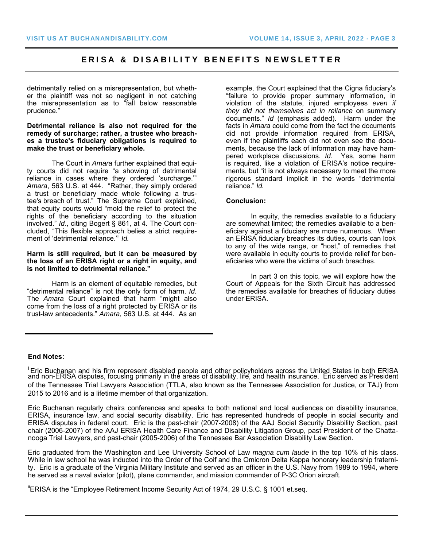#### ERISA & DISABILITY BENEFITS NEWSLETTER

detrimentally relied on a misrepresentation, but whether the plaintiff was not so negligent in not catching the misrepresentation as to "fall below reasonable prudence."

**Detrimental reliance is also not required for the remedy of surcharge; rather, a trustee who breaches a trustee's fiduciary obligations is required to make the trust or beneficiary whole.** 

The Court in *Amara* further explained that equity courts did not require "a showing of detrimental reliance in cases where they ordered 'surcharge.'" *Amara*, 563 U.S. at 444. "Rather, they simply ordered a trust or beneficiary made whole following a trustee's breach of trust." The Supreme Court explained, that equity courts would "mold the relief to protect the rights of the beneficiary according to the situation involved." *Id.*, citing Bogert § 861, at 4. The Court concluded, "This flexible approach belies a strict requirement of 'detrimental reliance.'" *Id.*

#### **Harm is still required, but it can be measured by the loss of an ERISA right or a right in equity, and is not limited to detrimental reliance."**

Harm is an element of equitable remedies, but "detrimental reliance" is not the only form of harm. *Id.* The *Amara* Court explained that harm "might also come from the loss of a right protected by ERISA or its trust-law antecedents." *Amara*, 563 U.S. at 444. As an

example, the Court explained that the Cigna fiduciary's "failure to provide proper summary information, in violation of the statute, injured employees *even if they did not themselves act in reliance* on summary documents." *Id* (emphasis added). Harm under the facts in *Amara* could come from the fact the documents did not provide information required from ERISA, even if the plaintiffs each did not even see the documents, because the lack of information may have hampered workplace discussions. *Id.* Yes, some harm is required, like a violation of ERISA's notice requirements, but "it is not always necessary to meet the more rigorous standard implicit in the words "detrimental reliance." *Id.*

#### **Conclusion:**

In equity, the remedies available to a fiduciary are somewhat limited; the remedies available to a beneficiary against a fiduciary are more numerous. When an ERISA fiduciary breaches its duties, courts can look to any of the wide range, or "host," of remedies that were available in equity courts to provide relief for beneficiaries who were the victims of such breaches.

In part 3 on this topic, we will explore how the Court of Appeals for the Sixth Circuit has addressed the remedies available for breaches of fiduciary duties under ERISA.

#### **End Notes:**

Eric Buchanan and his firm represent disabled people and other policyholders across the United States in both ERISA and non-ERISA disputes, focusing primarily in the areas of disability, life, and health insurance. Eric served as President of the Tennessee Trial Lawyers Association (TTLA, also known as the Tennessee Association for Justice, or TAJ) from 2015 to 2016 and is a lifetime member of that organization.

Eric Buchanan regularly chairs conferences and speaks to both national and local audiences on disability insurance, ERISA, insurance law, and social security disability. Eric has represented hundreds of people in social security and ERISA disputes in federal court. Eric is the past-chair (2007-2008) of the AAJ Social Security Disability Section, past chair (2006-2007) of the AAJ ERISA Health Care Finance and Disability Litigation Group, past President of the Chattanooga Trial Lawyers, and past-chair (2005-2006) of the Tennessee Bar Association Disability Law Section.

Eric graduated from the Washington and Lee University School of Law *magna cum laude* in the top 10% of his class. While in law school he was inducted into the Order of the Coif and the Omicron Delta Kappa honorary leadership fraternity. Eric is a graduate of the Virginia Military Institute and served as an officer in the U.S. Navy from 1989 to 1994, where he served as a naval aviator (pilot), plane commander, and mission commander of P-3C Orion aircraft.

<sup>ii</sup>ERISA is the "Employee Retirement Income Security Act of 1974, 29 U.S.C. § 1001 et.seq.